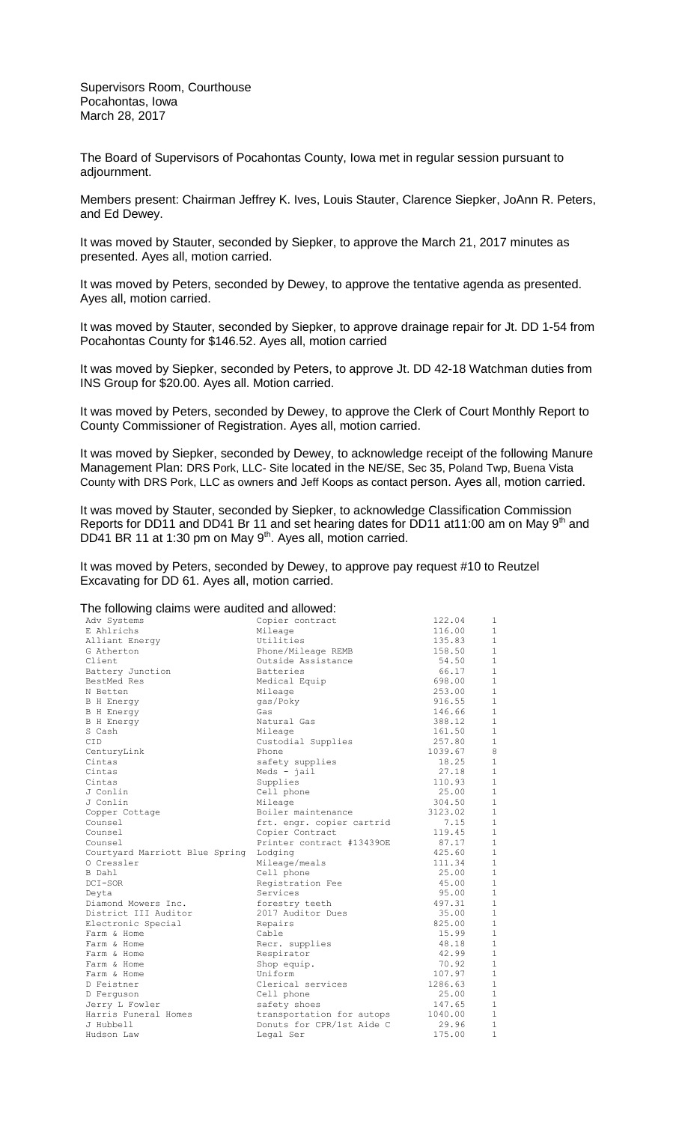Supervisors Room, Courthouse Pocahontas, Iowa March 28, 2017

The Board of Supervisors of Pocahontas County, Iowa met in regular session pursuant to adjournment.

Members present: Chairman Jeffrey K. Ives, Louis Stauter, Clarence Siepker, JoAnn R. Peters, and Ed Dewey.

It was moved by Stauter, seconded by Siepker, to approve the March 21, 2017 minutes as presented. Ayes all, motion carried.

It was moved by Peters, seconded by Dewey, to approve the tentative agenda as presented. Ayes all, motion carried.

It was moved by Stauter, seconded by Siepker, to approve drainage repair for Jt. DD 1-54 from Pocahontas County for \$146.52. Ayes all, motion carried

It was moved by Siepker, seconded by Peters, to approve Jt. DD 42-18 Watchman duties from INS Group for \$20.00. Ayes all. Motion carried.

It was moved by Peters, seconded by Dewey, to approve the Clerk of Court Monthly Report to County Commissioner of Registration. Ayes all, motion carried.

It was moved by Siepker, seconded by Dewey, to acknowledge receipt of the following Manure Management Plan: DRS Pork, LLC- Site located in the NE/SE, Sec 35, Poland Twp, Buena Vista County with DRS Pork, LLC as owners and Jeff Koops as contact person. Ayes all, motion carried.

It was moved by Stauter, seconded by Siepker, to acknowledge Classification Commission Reports for DD11 and DD41 Br 11 and set hearing dates for DD11 at11:00 am on May 9<sup>th</sup> and DD41 BR 11 at 1:30 pm on May 9<sup>th</sup>. Ayes all, motion carried.

It was moved by Peters, seconded by Dewey, to approve pay request #10 to Reutzel Excavating for DD 61. Ayes all, motion carried.

## The following claims were audited and allowed:

| Adv Systems                    | Copier contract           | 122.04  | 1            |
|--------------------------------|---------------------------|---------|--------------|
| E Ahlrichs                     | Mileage                   | 116.00  | $\mathbf{1}$ |
| Alliant Energy                 | Utilities                 | 135.83  | $\mathbf{1}$ |
| G Atherton                     | Phone/Mileage REMB        | 158.50  | $\mathbf{1}$ |
| Client                         | Outside Assistance        | 54.50   | $\mathbf{1}$ |
| Battery Junction               | Batteries                 | 66.17   | $\mathbf{1}$ |
| BestMed Res                    | Medical Equip             | 698.00  | $\mathbf{1}$ |
| N Betten                       | Mileage                   | 253.00  | $\mathbf{1}$ |
| B H Energy                     | qas/Poky                  | 916.55  | $\mathbf{1}$ |
| B H Energy                     | Gas                       | 146.66  | $\mathbf{1}$ |
| <b>B</b> H Energy              | Natural Gas               | 388.12  | $\mathbf{1}$ |
| S Cash                         | Mileage                   | 161.50  | $1\,$        |
| CID                            | Custodial Supplies        | 257.80  | $\mathbf{1}$ |
| CenturyLink                    | Phone                     | 1039.67 | 8            |
| Cintas                         | safety supplies           | 18.25   | $\mathbf{1}$ |
| Cintas                         | $Meds - jail$             | 27.18   | $\mathbf{1}$ |
| Cintas                         | Supplies                  | 110.93  | $1\,$        |
| J Conlin                       | Cell phone                | 25.00   | $\mathbf{1}$ |
| J Conlin                       | Mileage                   | 304.50  | $\mathbf{1}$ |
| Copper Cottage                 | Boiler maintenance        | 3123.02 | $\mathbf{1}$ |
| Counsel                        | frt. engr. copier cartrid | 7.15    | $\mathbf{1}$ |
| Counsel                        | Copier Contract           | 119.45  | $\mathbf{1}$ |
| Counsel                        | Printer contract #134390E | 87.17   | $\mathbf{1}$ |
| Courtyard Marriott Blue Spring | Lodging                   | 425.60  | $\mathbf{1}$ |
| O Cressler                     | Mileage/meals             | 111.34  | $\mathbf{1}$ |
| B Dahl                         | Cell phone                | 25.00   | $\mathbf{1}$ |
| DCI-SOR                        | Registration Fee          | 45.00   | $1\,$        |
| Deyta                          | Services                  | 95.00   | $\mathbf{1}$ |
| Diamond Mowers Inc.            | forestry teeth            | 497.31  | $\mathbf{1}$ |
| District III Auditor           | 2017 Auditor Dues         | 35.00   | $\mathbf{1}$ |
| Electronic Special             | Repairs                   | 825.00  | $\mathbf{1}$ |
| Farm & Home                    | Cable                     | 15.99   | $\mathbf{1}$ |
| Farm & Home                    | Recr. supplies            | 48.18   | $\mathbf{1}$ |
| Farm & Home                    | Respirator                | 42.99   | $\mathbf{1}$ |
| Farm & Home                    | Shop equip.               | 70.92   | $\mathbf{1}$ |
| Farm & Home                    | Uniform                   | 107.97  | $1\,$        |
| D Feistner                     | Clerical services         | 1286.63 | $\mathbf{1}$ |
| D Ferquson                     | Cell phone                | 25.00   | $\mathbf{1}$ |
| Jerry L Fowler                 | safety shoes              | 147.65  | $1\,$        |
| Harris Funeral Homes           | transportation for autops | 1040.00 | $\mathbf{1}$ |
| J Hubbell                      | Donuts for CPR/1st Aide C | 29.96   | $\mathbf{1}$ |
| Hudson Law                     | Legal Ser                 | 175.00  | 1            |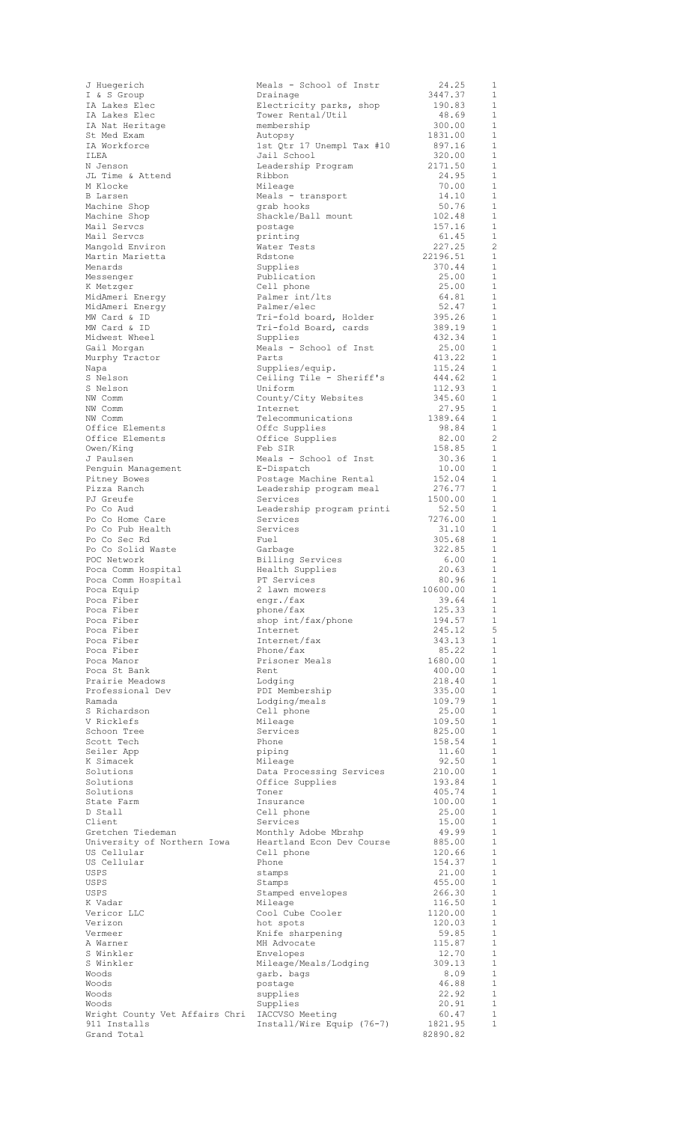| J Huegerich                                                    | Meals - School of Instr             | 24.25             | 1                 |
|----------------------------------------------------------------|-------------------------------------|-------------------|-------------------|
| I & S Group<br>IA Lakes Elec                                   | Drainage<br>Electricity parks, shop | 3447.37<br>190.83 | $\mathbf{1}$<br>1 |
| IA Lakes Elec                                                  | Tower Rental/Util                   | 48.69             | 1                 |
| IA Nat Heritage                                                | membership                          | 300.00            | 1                 |
| St Med Exam                                                    | Autopsy                             | 1831.00           | 1                 |
| IA Workforce                                                   | 1st Qtr 17 Unempl Tax #10           | 897.16            | 1                 |
| TT.FA                                                          | Jail School                         | 320.00            | 1                 |
| N Jenson<br>JL Time & Attend                                   | Leadership Program<br>Ribbon        | 2171.50<br>24.95  | $\mathbf{1}$<br>1 |
| M Klocke                                                       | Mileage                             | 70.00             | $\mathbf{1}$      |
| <b>B</b> Larsen                                                | Meals - transport                   | 14.10             | $\mathbf{1}$      |
| Machine Shop                                                   | grab hooks                          | 50.76             | $\mathbf{1}$      |
| Machine Shop                                                   | Shackle/Ball mount                  | 102.48            | $\mathbf{1}$      |
| Mail Servcs<br>Mail Servcs                                     | postage<br>printing                 | 157.16<br>61.45   | 1<br>1            |
| Mangold Environ                                                | Water Tests                         | 227.25            | $\overline{c}$    |
| Martin Marietta                                                | Rdstone                             | 22196.51          | 1                 |
| Menards                                                        | Supplies                            | 370.44            | 1                 |
| Messenger                                                      | Publication                         | 25.00             | 1                 |
| K Metzger                                                      | Cell phone<br>Palmer int/lts        | 25.00<br>64.81    | 1<br>1            |
| MidAmeri Energy<br>MidAmeri Energy                             | Palmer/elec                         | 52.47             | 1                 |
| MW Card & ID                                                   | Tri-fold board, Holder              | 395.26            | 1                 |
| MW Card & ID                                                   | Tri-fold Board, cards               | 389.19            | $\mathbf{1}$      |
| Midwest Wheel                                                  | Supplies                            | 432.34            | 1                 |
| Gail Morgan                                                    | Meals - School of Inst              | 25.00             | $\mathbf{1}$      |
| Murphy Tractor<br>Napa                                         | Parts<br>Supplies/equip.            | 413.22<br>115.24  | 1<br>$\mathbf{1}$ |
| S Nelson                                                       | Ceiling Tile - Sheriff's            | 444.62            | 1                 |
| S Nelson                                                       | Uniform                             | 112.93            | $\mathbf{1}$      |
| NW Comm                                                        | County/City Websites                | 345.60            | 1                 |
| NW Comm                                                        | Internet                            | 27.95             | $\mathbf{1}$      |
| NW Comm<br>Office Elements                                     | Telecommunications<br>Offc Supplies | 1389.64<br>98.84  | 1<br>$\mathbf{1}$ |
| Office Elements                                                | Office Supplies                     | 82.00             | $\overline{c}$    |
| Owen/King                                                      | Feb SIR                             | 158.85            | $\mathbf{1}$      |
| J Paulsen                                                      | Meals - School of Inst              | 30.36             | $\mathbf{1}$      |
| Penguin Management                                             | E-Dispatch                          | 10.00             | $\mathbf{1}$      |
| Pitney Bowes                                                   | Postage Machine Rental              | 152.04            | 1<br>1            |
| Pizza Ranch<br>PJ Greufe                                       | Leadership program meal<br>Services | 276.77<br>1500.00 | 1                 |
| Po Co Aud                                                      | Leadership program printi           | 52.50             | 1                 |
| Po Co Home Care                                                | Services                            | 7276.00           | 1                 |
| Po Co Pub Health                                               | Services                            | 31.10             | $\mathbf{1}$      |
| Po Co Sec Rd<br>Po Co Solid Waste                              | Fuel                                | 305.68<br>322.85  | 1<br><sup>1</sup> |
| POC Network                                                    | Garbage<br>Billing Services         | 6.00              | 1                 |
| Poca Comm Hospital                                             | Health Supplies                     | 20.63             | 1                 |
| Poca Comm Hospital                                             | PT Services                         | 80.96             | $\overline{1}$    |
| Poca Equip                                                     | 2 lawn mowers                       | 10600.00          | 1                 |
| Poca Fiber                                                     | engr./fax                           | 39.64             | 1<br>1            |
| Poca Fiber<br>Poca Fiber                                       | phone/fax<br>shop int/fax/phone     | 125.33<br>194.57  | $\mathbf{1}$      |
| Poca Fiber                                                     | Internet                            | 245.12            | 5                 |
| Poca Fiber                                                     | Internet/fax                        | 343.13            | $\mathbf 1$       |
| Poca Fiber                                                     | Phone/fax                           | 85.22             | 1                 |
| Poca Manor                                                     | Prisoner Meals                      | 1680.00           | $\mathbf{1}$      |
| Poca St Bank<br>Prairie Meadows                                | Rent<br>Lodging                     | 400.00<br>218.40  | 1<br>$\mathbf{1}$ |
| Professional Dev                                               | PDI Membership                      | 335.00            | $\mathbf{1}$      |
| Ramada                                                         | Lodging/meals                       | 109.79            | 1                 |
| S Richardson                                                   | Cell phone                          | 25.00             | 1                 |
| V Ricklefs                                                     | Mileage                             | 109.50            | 1                 |
| Schoon Tree<br>Scott Tech                                      | Services<br>Phone                   | 825.00<br>158.54  | 1<br>1            |
| Seiler App                                                     | piping                              | 11.60             | 1                 |
| K Simacek                                                      | Mileage                             | 92.50             | $\mathbf{1}$      |
| Solutions                                                      | Data Processing Services            | 210.00            | 1                 |
| Solutions                                                      | Office Supplies                     | 193.84            | $\mathbf{1}$      |
| Solutions<br>State Farm                                        | Toner<br>Insurance                  | 405.74<br>100.00  | 1<br>1            |
| D Stall                                                        | Cell phone                          | 25.00             | $\mathbf{1}$      |
| Client                                                         | Services                            | 15.00             | $\mathbf{1}$      |
| Gretchen Tiedeman                                              | Monthly Adobe Mbrshp                | 49.99             | 1                 |
| University of Northern Iowa<br>US Cellular                     | Heartland Econ Dev Course           | 885.00<br>120.66  | $\mathbf{1}$<br>1 |
| US Cellular                                                    | Cell phone<br>Phone                 | 154.37            | $\mathbf{1}$      |
| USPS                                                           | stamps                              | 21.00             | $\mathbf{1}$      |
| USPS                                                           | Stamps                              | 455.00            | $\mathbf{1}$      |
| USPS                                                           | Stamped envelopes                   | 266.30            | $\mathbf{1}$      |
| K Vadar<br>Vericor LLC                                         | Mileage<br>Cool Cube Cooler         | 116.50<br>1120.00 | $\mathbf{1}$<br>1 |
| Verizon                                                        | hot spots                           | 120.03            | $\mathbf{1}$      |
| Vermeer                                                        | Knife sharpening                    | 59.85             | 1                 |
| A Warner                                                       | MH Advocate                         | 115.87            | 1                 |
| S Winkler                                                      | Envelopes                           | 12.70             | 1                 |
| S Winkler<br>Woods                                             | Mileage/Meals/Lodging<br>garb. bags | 309.13<br>8.09    | $\mathbf{1}$<br>1 |
| Woods                                                          | postage                             | 46.88             | 1                 |
| Woods                                                          | supplies                            | 22.92             | 1                 |
| Woods                                                          | Supplies                            | 20.91             | $\mathbf{1}$      |
| Wright County Vet Affairs Chri IACCVSO Meeting<br>911 Installs | Install/Wire Equip (76-7)           | 60.47<br>1821.95  | 1<br>$\mathbf{1}$ |
| Grand Total                                                    |                                     | 82890.82          |                   |
|                                                                |                                     |                   |                   |